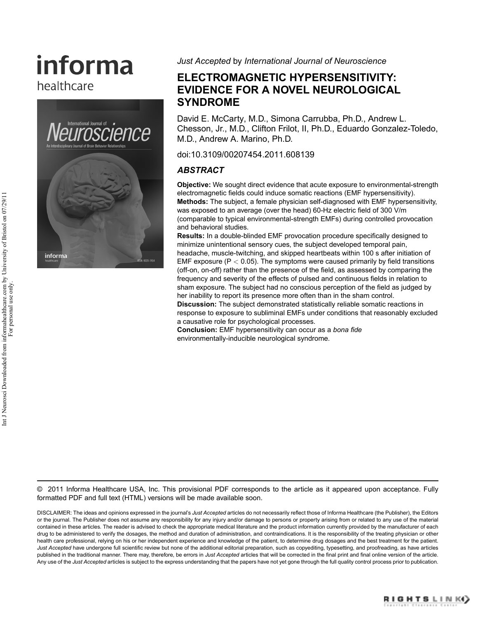# informa healthcare



*Just Accepted* by *International Journal of Neuroscience*

# **ELECTROMAGNETIC HYPERSENSITIVITY: EVIDENCE FOR A NOVEL NEUROLOGICAL SYNDROME**

David E. McCarty, M.D., Simona Carrubba, Ph.D., Andrew L. Chesson, Jr., M.D., Clifton Frilot, II, Ph.D., Eduardo Gonzalez-Toledo, M.D., Andrew A. Marino, Ph.D.

doi:10.3109/00207454.2011.608139

### *ABSTRACT*

**Objective:** We sought direct evidence that acute exposure to environmental-strength electromagnetic fields could induce somatic reactions (EMF hypersensitivity). **Methods:** The subject, a female physician self-diagnosed with EMF hypersensitivity, was exposed to an average (over the head) 60-Hz electric field of 300 V/m (comparable to typical environmental-strength EMFs) during controlled provocation and behavioral studies.

**Results:** In a double-blinded EMF provocation procedure specifically designed to minimize unintentional sensory cues, the subject developed temporal pain, headache, muscle-twitching, and skipped heartbeats within 100 s after initiation of EMF exposure ( $P < 0.05$ ). The symptoms were caused primarily by field transitions (off-on, on-off) rather than the presence of the field, as assessed by comparing the frequency and severity of the effects of pulsed and continuous fields in relation to sham exposure. The subject had no conscious perception of the field as judged by her inability to report its presence more often than in the sham control.

**Discussion:** The subject demonstrated statistically reliable somatic reactions in response to exposure to subliminal EMFs under conditions that reasonably excluded a causative role for psychological processes.

**Conclusion:** EMF hypersensitivity can occur as a *bona fide* environmentally-inducible neurological syndrome.

© 2011 Informa Healthcare USA, Inc. This provisional PDF corresponds to the article as it appeared upon acceptance. Fully formatted PDF and full text (HTML) versions will be made available soon.

DISCLAIMER: The ideas and opinions expressed in the journal's *Just Accepted* articles do not necessarily reflect those of Informa Healthcare (the Publisher), the Editors or the journal. The Publisher does not assume any responsibility for any injury and/or damage to persons or property arising from or related to any use of the material contained in these articles. The reader is advised to check the appropriate medical literature and the product information currently provided by the manufacturer of each drug to be administered to verify the dosages, the method and duration of administration, and contraindications. It is the responsibility of the treating physician or other health care professional, relying on his or her independent experience and knowledge of the patient, to determine drug dosages and the best treatment for the patient. *Just Accepted* have undergone full scientific review but none of the additional editorial preparation, such as copyediting, typesetting, and proofreading, as have articles published in the traditional manner. There may, therefore, be errors in *Just Accepted* articles that will be corrected in the final print and final online version of the article. Any use of the *Just Accepted* articles is subject to the express understanding that the papers have not yet gone through the full quality control process prior to publication.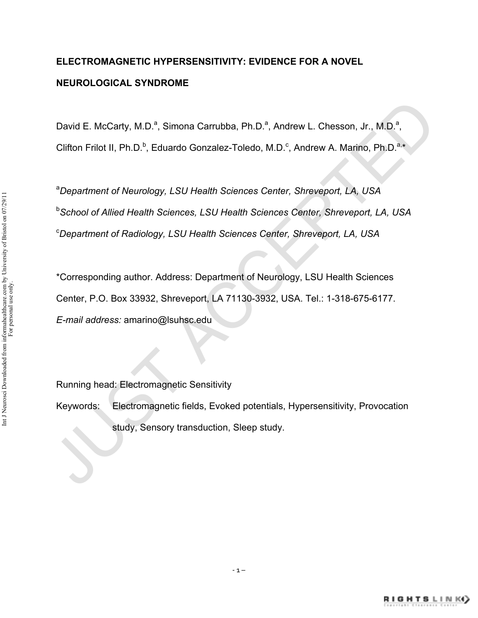# **ELECTROMAGNETIC HYPERSENSITIVITY: EVIDENCE FOR A NOVEL NEUROLOGICAL SYNDROME**

David E. McCarty, M.D.<sup>a</sup>, Simona Carrubba, Ph.D.<sup>a</sup>, Andrew L. Chesson, Jr., M.D.<sup>a</sup>, Clifton Frilot II, Ph.D.<sup>b</sup>, Eduardo Gonzalez-Toledo, M.D.<sup>c</sup>, Andrew A. Marino, Ph.D.<sup>a,\*</sup>

David E. McCarty, M.D.<sup>9</sup>, Simona Carrubba, Ph.D.<sup>9</sup>, Andrew L. Chesson, Jr., M.D.<sup>9</sup>,<br>Clifton Frilot II, Ph.D.<sup>9</sup>, Eduardo Gonzalez-Toledo, M.D.<sup>6</sup>, Andrew A. Marino, Ph.D.<sup>8,2</sup><br>
"Department of Neurology, LSU Health Scien <sup>a</sup>*Department of Neurology, LSU Health Sciences Center, Shreveport, LA, USA* <sup>b</sup>*School of Allied Health Sciences, LSU Health Sciences Center, Shreveport, LA, USA* <sup>c</sup>*Department of Radiology, LSU Health Sciences Center, Shreveport, LA, USA*

\*Corresponding author. Address: Department of Neurology, LSU Health Sciences Center, P.O. Box 33932, Shreveport, LA 71130-3932, USA. Tel.: 1-318-675-6177. *E-mail address:* amarino@lsuhsc.edu

Running head: Electromagnetic Sensitivity

Keywords: Electromagnetic fields, Evoked potentials, Hypersensitivity, Provocation study, Sensory transduction, Sleep study.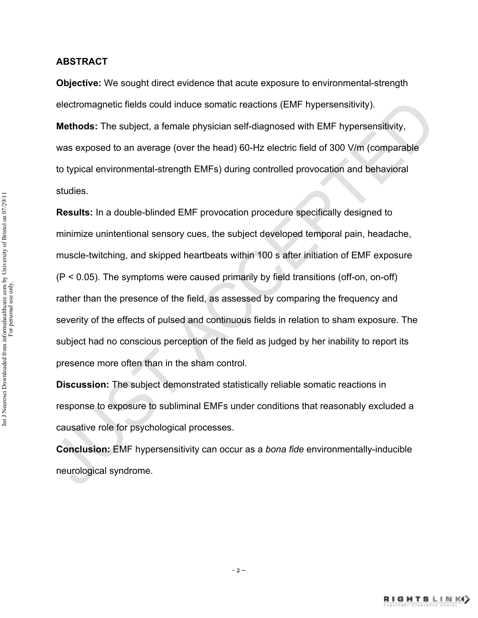#### **ABSTRACT**

**Objective:** We sought direct evidence that acute exposure to environmental-strength electromagnetic fields could induce somatic reactions (EMF hypersensitivity). **Methods:** The subject, a female physician self-diagnosed with EMF hypersensitivity, was exposed to an average (over the head) 60-Hz electric field of 300 V/m (comparable to typical environmental-strength EMFs) during controlled provocation and behavioral studies.

electromagnetic fields could induce somatic reactions (EMF hypersensitivity).<br>
Methods: The subject, a female physician self-diagnosed with EMF hypersensitivity,<br>
was exposed to an average (over the head) 60-Hz electric fi **Results:** In a double-blinded EMF provocation procedure specifically designed to minimize unintentional sensory cues, the subject developed temporal pain, headache, muscle-twitching, and skipped heartbeats within 100 s after initiation of EMF exposure (P < 0.05). The symptoms were caused primarily by field transitions (off-on, on-off) rather than the presence of the field, as assessed by comparing the frequency and severity of the effects of pulsed and continuous fields in relation to sham exposure. The subject had no conscious perception of the field as judged by her inability to report its presence more often than in the sham control.

**Discussion:** The subject demonstrated statistically reliable somatic reactions in response to exposure to subliminal EMFs under conditions that reasonably excluded a causative role for psychological processes.

**Conclusion:** EMF hypersensitivity can occur as a *bona fide* environmentally-inducible neurological syndrome.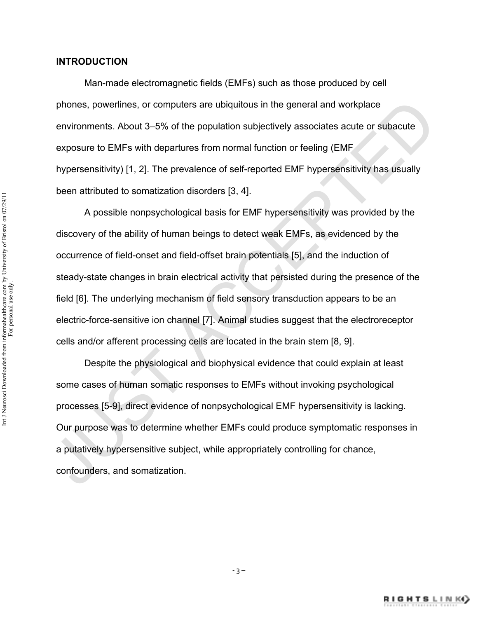Man-made electromagnetic fields (EMFs) such as those produced by cell phones, powerlines, or computers are ubiquitous in the general and workplace environments. About 3–5% of the population subjectively associates acute or subacute exposure to EMFs with departures from normal function or feeling (EMF hypersensitivity) [1, 2]. The prevalence of self-reported EMF hypersensitivity has usually been attributed to somatization disorders [3, 4].

phones, powerlines, or computers are ubiquitous in the general and workplace<br>environments. About 3–5% of the population subjectively associates acute or subacute<br>exposure to EMFs with departures from normal function or fee A possible nonpsychological basis for EMF hypersensitivity was provided by the discovery of the ability of human beings to detect weak EMFs, as evidenced by the occurrence of field-onset and field-offset brain potentials [5], and the induction of steady-state changes in brain electrical activity that persisted during the presence of the field [6]. The underlying mechanism of field sensory transduction appears to be an electric-force-sensitive ion channel [7]. Animal studies suggest that the electroreceptor cells and/or afferent processing cells are located in the brain stem [8, 9].

 Despite the physiological and biophysical evidence that could explain at least some cases of human somatic responses to EMFs without invoking psychological processes [5-9], direct evidence of nonpsychological EMF hypersensitivity is lacking. Our purpose was to determine whether EMFs could produce symptomatic responses in a putatively hypersensitive subject, while appropriately controlling for chance, confounders, and somatization.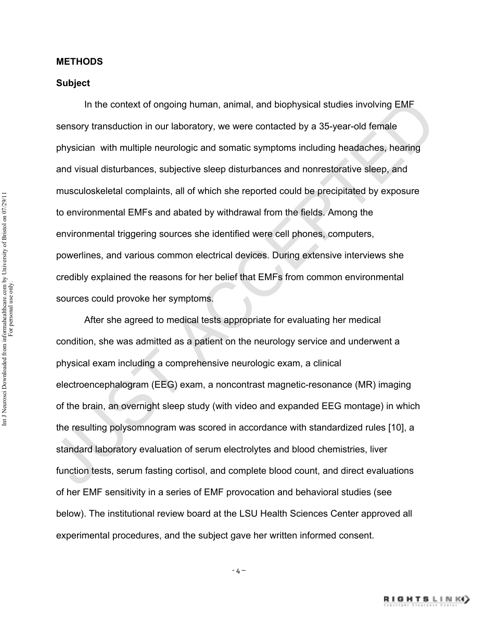#### **METHODS**

#### **Subject**

In the context of ongoing human, animal, and biophysical studies involving EMF<br>sensory transduction in our laboratory, we were contacted by a 35-year-old female<br>physician with multiple neurologic and somatic symptoms inclu In the context of ongoing human, animal, and biophysical studies involving EMF sensory transduction in our laboratory, we were contacted by a 35-year-old female physician with multiple neurologic and somatic symptoms including headaches, hearing and visual disturbances, subjective sleep disturbances and nonrestorative sleep, and musculoskeletal complaints, all of which she reported could be precipitated by exposure to environmental EMFs and abated by withdrawal from the fields. Among the environmental triggering sources she identified were cell phones, computers, powerlines, and various common electrical devices. During extensive interviews she credibly explained the reasons for her belief that EMFs from common environmental sources could provoke her symptoms.

 After she agreed to medical tests appropriate for evaluating her medical condition, she was admitted as a patient on the neurology service and underwent a physical exam including a comprehensive neurologic exam, a clinical electroencephalogram (EEG) exam, a noncontrast magnetic-resonance (MR) imaging of the brain, an overnight sleep study (with video and expanded EEG montage) in which the resulting polysomnogram was scored in accordance with standardized rules [10], a standard laboratory evaluation of serum electrolytes and blood chemistries, liver function tests, serum fasting cortisol, and complete blood count, and direct evaluations of her EMF sensitivity in a series of EMF provocation and behavioral studies (see below). The institutional review board at the LSU Health Sciences Center approved all experimental procedures, and the subject gave her written informed consent.

 $-4 -$ 

Int J Neurosci Downloaded from informahealthcare.com by University of Bristol on 07/29/11 Int J Neurosci Downloaded from informahealthcare.com by University of Bristol on 07/29/11 For personal use only.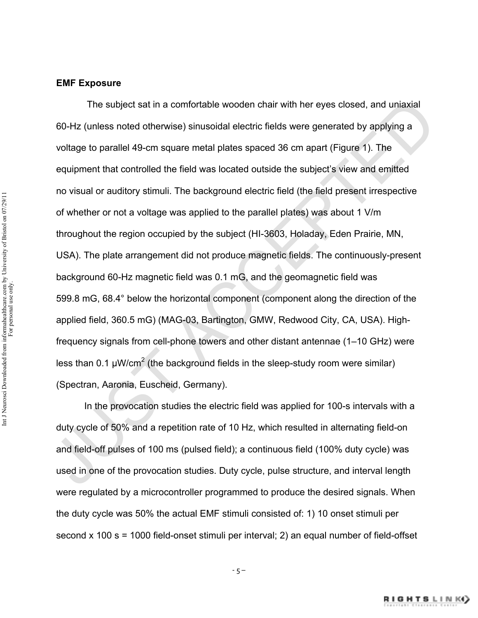#### **EMF Exposure**

The subject sat in a comfortable wooden chair with her eyes closed, and uniaxial<br>60-Hz (unless noted otherwise) sinusoidal electric fields were generated by applying a<br>voltage to parallel 49-cm square metal plates spaced The subject sat in a comfortable wooden chair with her eyes closed, and uniaxial 60-Hz (unless noted otherwise) sinusoidal electric fields were generated by applying a voltage to parallel 49-cm square metal plates spaced 36 cm apart (Figure 1). The equipment that controlled the field was located outside the subject's view and emitted no visual or auditory stimuli. The background electric field (the field present irrespective of whether or not a voltage was applied to the parallel plates) was about 1 V/m throughout the region occupied by the subject (HI-3603, Holaday, Eden Prairie, MN, USA). The plate arrangement did not produce magnetic fields. The continuously-present background 60-Hz magnetic field was 0.1 mG, and the geomagnetic field was 599.8 mG, 68.4° below the horizontal component (component along the direction of the applied field, 360.5 mG) (MAG-03, Bartington, GMW, Redwood City, CA, USA). Highfrequency signals from cell-phone towers and other distant antennae (1–10 GHz) were less than 0.1  $\mu$ W/cm<sup>2</sup> (the background fields in the sleep-study room were similar) (Spectran, Aaronia, Euscheid, Germany).

In the provocation studies the electric field was applied for 100-s intervals with a duty cycle of 50% and a repetition rate of 10 Hz, which resulted in alternating field-on and field-off pulses of 100 ms (pulsed field); a continuous field (100% duty cycle) was used in one of the provocation studies. Duty cycle, pulse structure, and interval length were regulated by a microcontroller programmed to produce the desired signals. When the duty cycle was 50% the actual EMF stimuli consisted of: 1) 10 onset stimuli per second x 100 s = 1000 field-onset stimuli per interval; 2) an equal number of field-offset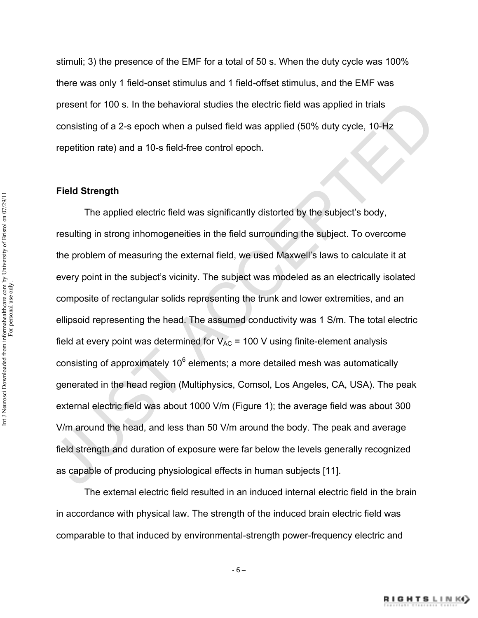stimuli; 3) the presence of the EMF for a total of 50 s. When the duty cycle was 100% there was only 1 field-onset stimulus and 1 field-offset stimulus, and the EMF was present for 100 s. In the behavioral studies the electric field was applied in trials consisting of a 2-s epoch when a pulsed field was applied (50% duty cycle, 10-Hz repetition rate) and a 10-s field-free control epoch.

#### **Field Strength**

present for 100 s. In the behavioral studies the electric field was applied in trials<br>consisting of a 2-s epoch when a pulsed field was applied (50% duty cycle, 10-Hz<br>repetition rate) and a 10-s field-free control epoch.<br> The applied electric field was significantly distorted by the subject's body, resulting in strong inhomogeneities in the field surrounding the subject. To overcome the problem of measuring the external field, we used Maxwell's laws to calculate it at every point in the subject's vicinity. The subject was modeled as an electrically isolated composite of rectangular solids representing the trunk and lower extremities, and an ellipsoid representing the head. The assumed conductivity was 1 S/m. The total electric field at every point was determined for  $V_{AC}$  = 100 V using finite-element analysis consisting of approximately 10 $^6$  elements; a more detailed mesh was automatically generated in the head region (Multiphysics, Comsol, Los Angeles, CA, USA). The peak external electric field was about 1000 V/m (Figure 1); the average field was about 300 V/m around the head, and less than 50 V/m around the body. The peak and average field strength and duration of exposure were far below the levels generally recognized as capable of producing physiological effects in human subjects [11].

The external electric field resulted in an induced internal electric field in the brain in accordance with physical law. The strength of the induced brain electric field was comparable to that induced by environmental-strength power-frequency electric and

 $-6-$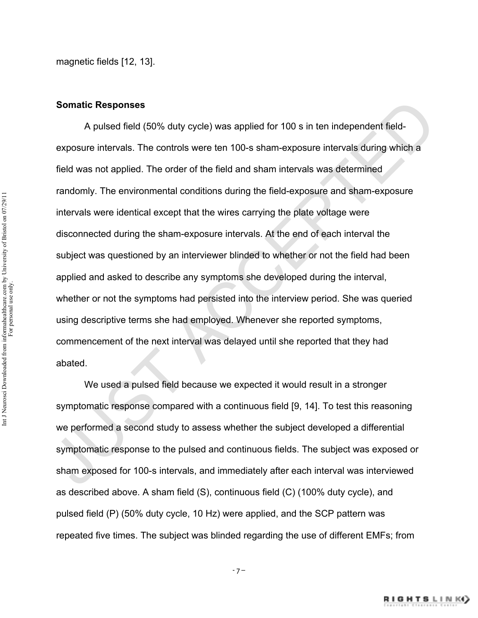#### **Somatic Responses**

Somatic Responses<br>
A pulsed field (50% duty cycle) was applied for 100 s in ten independent field-<br>
exposure intervals. The controls were ten 100-s sham-exposure intervals during which a<br>
field was not applied. The order o A pulsed field (50% duty cycle) was applied for 100 s in ten independent fieldexposure intervals. The controls were ten 100-s sham-exposure intervals during which a field was not applied. The order of the field and sham intervals was determined randomly. The environmental conditions during the field-exposure and sham-exposure intervals were identical except that the wires carrying the plate voltage were disconnected during the sham-exposure intervals. At the end of each interval the subject was questioned by an interviewer blinded to whether or not the field had been applied and asked to describe any symptoms she developed during the interval, whether or not the symptoms had persisted into the interview period. She was queried using descriptive terms she had employed. Whenever she reported symptoms, commencement of the next interval was delayed until she reported that they had abated.

 We used a pulsed field because we expected it would result in a stronger symptomatic response compared with a continuous field [9, 14]. To test this reasoning we performed a second study to assess whether the subject developed a differential symptomatic response to the pulsed and continuous fields. The subject was exposed or sham exposed for 100-s intervals, and immediately after each interval was interviewed as described above. A sham field (S), continuous field (C) (100% duty cycle), and pulsed field (P) (50% duty cycle, 10 Hz) were applied, and the SCP pattern was repeated five times. The subject was blinded regarding the use of different EMFs; from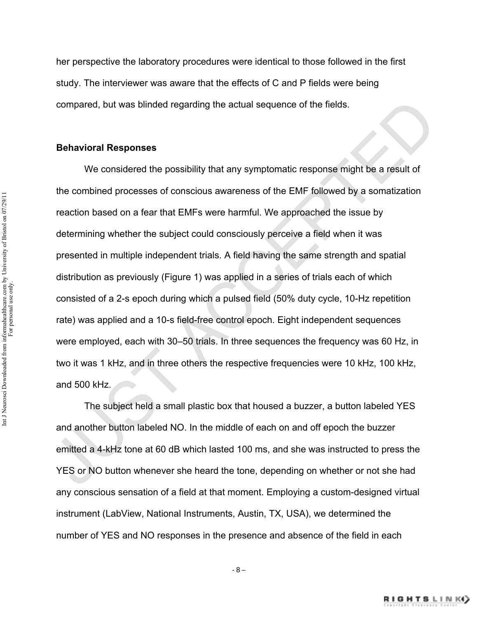her perspective the laboratory procedures were identical to those followed in the first study. The interviewer was aware that the effects of C and P fields were being compared, but was blinded regarding the actual sequence of the fields.

#### **Behavioral Responses**

compared, but was blinded regarding the actual sequence of the fields.<br> **Behavioral Responses**<br>
We considered the possibility that any symptomatic response might be a result of<br>
the ombined processes of conscious awareness We considered the possibility that any symptomatic response might be a result of the combined processes of conscious awareness of the EMF followed by a somatization reaction based on a fear that EMFs were harmful. We approached the issue by determining whether the subject could consciously perceive a field when it was presented in multiple independent trials. A field having the same strength and spatial distribution as previously (Figure 1) was applied in a series of trials each of which consisted of a 2-s epoch during which a pulsed field (50% duty cycle, 10-Hz repetition rate) was applied and a 10-s field-free control epoch. Eight independent sequences were employed, each with 30–50 trials. In three sequences the frequency was 60 Hz, in two it was 1 kHz, and in three others the respective frequencies were 10 kHz, 100 kHz, and 500 kHz.

 The subject held a small plastic box that housed a buzzer, a button labeled YES and another button labeled NO. In the middle of each on and off epoch the buzzer emitted a 4-kHz tone at 60 dB which lasted 100 ms, and she was instructed to press the YES or NO button whenever she heard the tone, depending on whether or not she had any conscious sensation of a field at that moment. Employing a custom-designed virtual instrument (LabView, National Instruments, Austin, TX, USA), we determined the number of YES and NO responses in the presence and absence of the field in each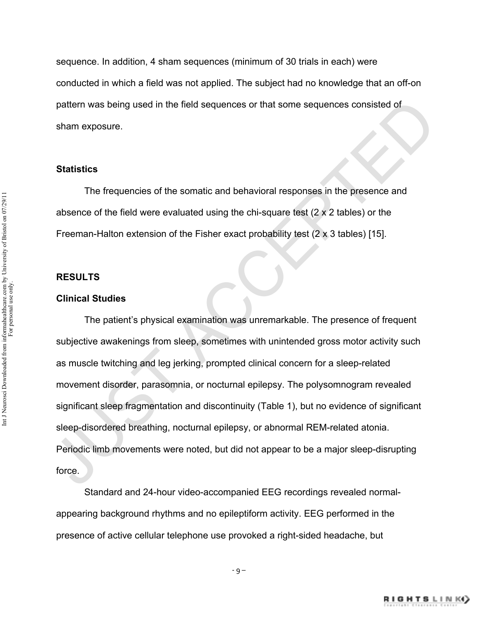sequence. In addition, 4 sham sequences (minimum of 30 trials in each) were conducted in which a field was not applied. The subject had no knowledge that an off-on pattern was being used in the field sequences or that some sequences consisted of sham exposure.

#### **Statistics**

 The frequencies of the somatic and behavioral responses in the presence and absence of the field were evaluated using the chi-square test (2 x 2 tables) or the Freeman-Halton extension of the Fisher exact probability test (2 x 3 tables) [15].

#### **RESULTS**

#### **Clinical Studies**

pattern was being used in the field sequences or that some sequences consisted of<br>
sham exposure.<br>
Statistics<br>
The frequencies of the somatic and behavioral responses in the presence and<br>
absence of the field were evaluate The patient's physical examination was unremarkable. The presence of frequent subjective awakenings from sleep, sometimes with unintended gross motor activity such as muscle twitching and leg jerking, prompted clinical concern for a sleep-related movement disorder, parasomnia, or nocturnal epilepsy. The polysomnogram revealed significant sleep fragmentation and discontinuity (Table 1), but no evidence of significant sleep-disordered breathing, nocturnal epilepsy, or abnormal REM-related atonia. Periodic limb movements were noted, but did not appear to be a major sleep-disrupting force.

 Standard and 24-hour video-accompanied EEG recordings revealed normalappearing background rhythms and no epileptiform activity. EEG performed in the presence of active cellular telephone use provoked a right-sided headache, but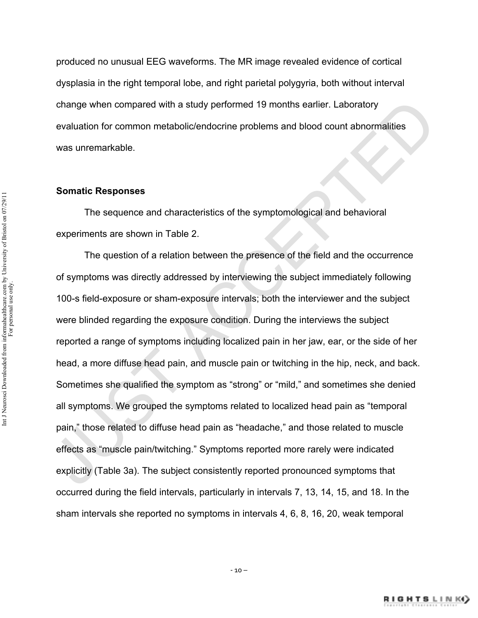produced no unusual EEG waveforms. The MR image revealed evidence of cortical dysplasia in the right temporal lobe, and right parietal polygyria, both without interval change when compared with a study performed 19 months earlier. Laboratory evaluation for common metabolic/endocrine problems and blood count abnormalities was unremarkable.

#### **Somatic Responses**

 The sequence and characteristics of the symptomological and behavioral experiments are shown in Table 2.

change when compared with a study performed 19 months earlier. Laboratory<br>
evaluation for common metabolic/endocrine problems and blood count abnormalities<br>
was unremarkable.<br>
Somatic Responses<br>
The sequence and characteri The question of a relation between the presence of the field and the occurrence of symptoms was directly addressed by interviewing the subject immediately following 100-s field-exposure or sham-exposure intervals; both the interviewer and the subject were blinded regarding the exposure condition. During the interviews the subject reported a range of symptoms including localized pain in her jaw, ear, or the side of her head, a more diffuse head pain, and muscle pain or twitching in the hip, neck, and back. Sometimes she qualified the symptom as "strong" or "mild," and sometimes she denied all symptoms. We grouped the symptoms related to localized head pain as "temporal pain," those related to diffuse head pain as "headache," and those related to muscle effects as "muscle pain/twitching." Symptoms reported more rarely were indicated explicitly (Table 3a). The subject consistently reported pronounced symptoms that occurred during the field intervals, particularly in intervals 7, 13, 14, 15, and 18. In the sham intervals she reported no symptoms in intervals 4, 6, 8, 16, 20, weak temporal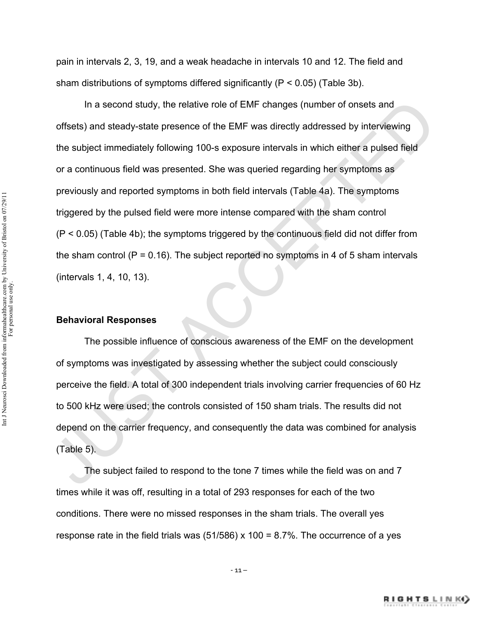pain in intervals 2, 3, 19, and a weak headache in intervals 10 and 12. The field and sham distributions of symptoms differed significantly ( $P < 0.05$ ) (Table 3b).

In a second study, the relative role of EMF changes (number of onsets and<br>offsets) and steady-state presence of the EMF was directly addressed by interviewing<br>the subject immediately following 100-s exposure intervals in In a second study, the relative role of EMF changes (number of onsets and offsets) and steady-state presence of the EMF was directly addressed by interviewing the subject immediately following 100-s exposure intervals in which either a pulsed field or a continuous field was presented. She was queried regarding her symptoms as previously and reported symptoms in both field intervals (Table 4a). The symptoms triggered by the pulsed field were more intense compared with the sham control (P < 0.05) (Table 4b); the symptoms triggered by the continuous field did not differ from the sham control ( $P = 0.16$ ). The subject reported no symptoms in 4 of 5 sham intervals (intervals 1, 4, 10, 13).

#### **Behavioral Responses**

 The possible influence of conscious awareness of the EMF on the development of symptoms was investigated by assessing whether the subject could consciously perceive the field. A total of 300 independent trials involving carrier frequencies of 60 Hz to 500 kHz were used; the controls consisted of 150 sham trials. The results did not depend on the carrier frequency, and consequently the data was combined for analysis (Table 5).

 The subject failed to respond to the tone 7 times while the field was on and 7 times while it was off, resulting in a total of 293 responses for each of the two conditions. There were no missed responses in the sham trials. The overall yes response rate in the field trials was (51/586)  $\times$  100 = 8.7%. The occurrence of a yes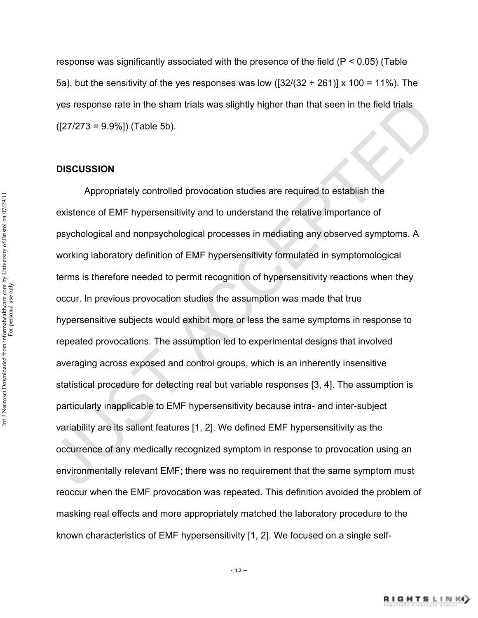response was significantly associated with the presence of the field (P < 0.05) (Table 5a), but the sensitivity of the yes responses was low  $(32/(32 + 261))$  x 100 = 11%). The yes response rate in the sham trials was slightly higher than that seen in the field trials ([27/273 = 9.9%]) (Table 5b).

#### **DISCUSSION**

yes response rate in the sham trials was slightly higher than that seen in the field trials<br>((27/273 = 9.9%)) (Table 5b).<br> **DISCUSSION**<br>
Appropriately controlled provocation studies are required to establish the<br>
existence Appropriately controlled provocation studies are required to establish the existence of EMF hypersensitivity and to understand the relative importance of psychological and nonpsychological processes in mediating any observed symptoms. A working laboratory definition of EMF hypersensitivity formulated in symptomological terms is therefore needed to permit recognition of hypersensitivity reactions when they occur. In previous provocation studies the assumption was made that true hypersensitive subjects would exhibit more or less the same symptoms in response to repeated provocations. The assumption led to experimental designs that involved averaging across exposed and control groups, which is an inherently insensitive statistical procedure for detecting real but variable responses [3, 4]. The assumption is particularly inapplicable to EMF hypersensitivity because intra- and inter-subject variability are its salient features [1, 2]. We defined EMF hypersensitivity as the occurrence of any medically recognized symptom in response to provocation using an environmentally relevant EMF; there was no requirement that the same symptom must reoccur when the EMF provocation was repeated. This definition avoided the problem of masking real effects and more appropriately matched the laboratory procedure to the known characteristics of EMF hypersensitivity [1, 2]. We focused on a single self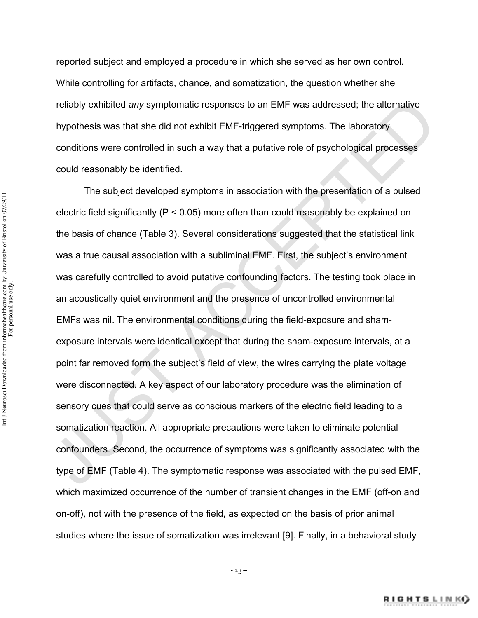reported subject and employed a procedure in which she served as her own control. While controlling for artifacts, chance, and somatization, the question whether she reliably exhibited *any* symptomatic responses to an EMF was addressed; the alternative hypothesis was that she did not exhibit EMF-triggered symptoms. The laboratory conditions were controlled in such a way that a putative role of psychological processes could reasonably be identified.

reliably exhibited any symptomatic responses to an EMF was addressed; the alternative<br>hypothesis was that she did not exhibit EMF-triggered symptoms. The laboratory<br>conditions were controlled in such a way that a putative The subject developed symptoms in association with the presentation of a pulsed electric field significantly (P < 0.05) more often than could reasonably be explained on the basis of chance (Table 3). Several considerations suggested that the statistical link was a true causal association with a subliminal EMF. First, the subject's environment was carefully controlled to avoid putative confounding factors. The testing took place in an acoustically quiet environment and the presence of uncontrolled environmental EMFs was nil. The environmental conditions during the field-exposure and shamexposure intervals were identical except that during the sham-exposure intervals, at a point far removed form the subject's field of view, the wires carrying the plate voltage were disconnected. A key aspect of our laboratory procedure was the elimination of sensory cues that could serve as conscious markers of the electric field leading to a somatization reaction. All appropriate precautions were taken to eliminate potential confounders. Second, the occurrence of symptoms was significantly associated with the type of EMF (Table 4). The symptomatic response was associated with the pulsed EMF, which maximized occurrence of the number of transient changes in the EMF (off-on and on-off), not with the presence of the field, as expected on the basis of prior animal studies where the issue of somatization was irrelevant [9]. Finally, in a behavioral study

 $-13 -$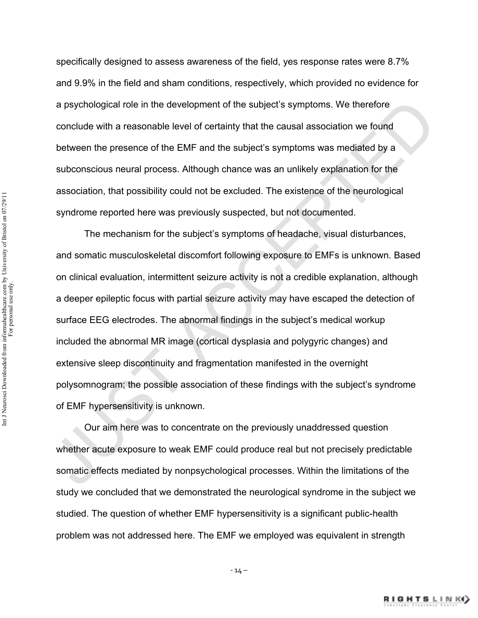specifically designed to assess awareness of the field, yes response rates were 8.7% and 9.9% in the field and sham conditions, respectively, which provided no evidence for a psychological role in the development of the subject's symptoms. We therefore conclude with a reasonable level of certainty that the causal association we found between the presence of the EMF and the subject's symptoms was mediated by a subconscious neural process. Although chance was an unlikely explanation for the association, that possibility could not be excluded. The existence of the neurological syndrome reported here was previously suspected, but not documented.

a psychological role in the development of the subject's symptoms. We therefore<br>conclude with a reasonable level of certainty that the causal association we found<br>between the presence of the EMF and the subject's symptoms The mechanism for the subject's symptoms of headache, visual disturbances, and somatic musculoskeletal discomfort following exposure to EMFs is unknown. Based on clinical evaluation, intermittent seizure activity is not a credible explanation, although a deeper epileptic focus with partial seizure activity may have escaped the detection of surface EEG electrodes. The abnormal findings in the subject's medical workup included the abnormal MR image (cortical dysplasia and polygyric changes) and extensive sleep discontinuity and fragmentation manifested in the overnight polysomnogram; the possible association of these findings with the subject's syndrome of EMF hypersensitivity is unknown.

 Our aim here was to concentrate on the previously unaddressed question whether acute exposure to weak EMF could produce real but not precisely predictable somatic effects mediated by nonpsychological processes. Within the limitations of the study we concluded that we demonstrated the neurological syndrome in the subject we studied. The question of whether EMF hypersensitivity is a significant public-health problem was not addressed here. The EMF we employed was equivalent in strength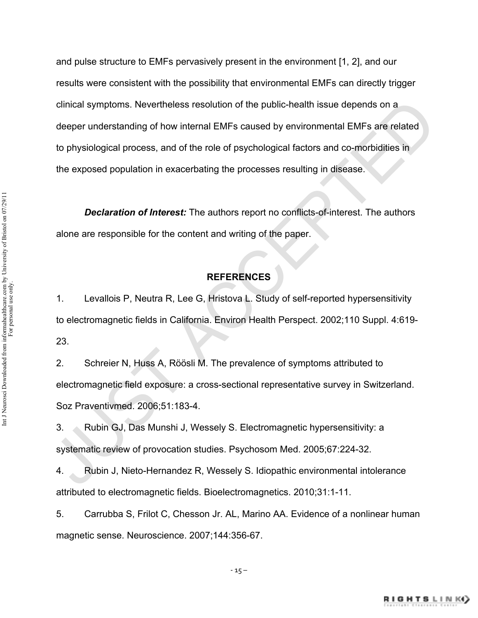clinical symptoms. Nevertheless resolution of the public-health issue depends on a<br>deeper understanding of how internal EMFs caused by environmental EMFs are related<br>to physiological process, and of the role of psychologic and pulse structure to EMFs pervasively present in the environment [1, 2], and our results were consistent with the possibility that environmental EMFs can directly trigger clinical symptoms. Nevertheless resolution of the public-health issue depends on a deeper understanding of how internal EMFs caused by environmental EMFs are related to physiological process, and of the role of psychological factors and co-morbidities in the exposed population in exacerbating the processes resulting in disease.

*Declaration of Interest:* The authors report no conflicts-of-interest. The authors alone are responsible for the content and writing of the paper.

# **REFERENCES**

1. Levallois P, Neutra R, Lee G, Hristova L. Study of self-reported hypersensitivity to electromagnetic fields in California. Environ Health Perspect. 2002;110 Suppl. 4:619- 23.

2. Schreier N, Huss A, Röösli M. The prevalence of symptoms attributed to electromagnetic field exposure: a cross-sectional representative survey in Switzerland. Soz Praventivmed. 2006;51:183-4.

3. Rubin GJ, Das Munshi J, Wessely S. Electromagnetic hypersensitivity: a systematic review of provocation studies. Psychosom Med. 2005;67:224-32.

4. Rubin J, Nieto-Hernandez R, Wessely S. Idiopathic environmental intolerance attributed to electromagnetic fields. Bioelectromagnetics. 2010;31:1-11.

5. Carrubba S, Frilot C, Chesson Jr. AL, Marino AA. Evidence of a nonlinear human magnetic sense. Neuroscience. 2007;144:356-67.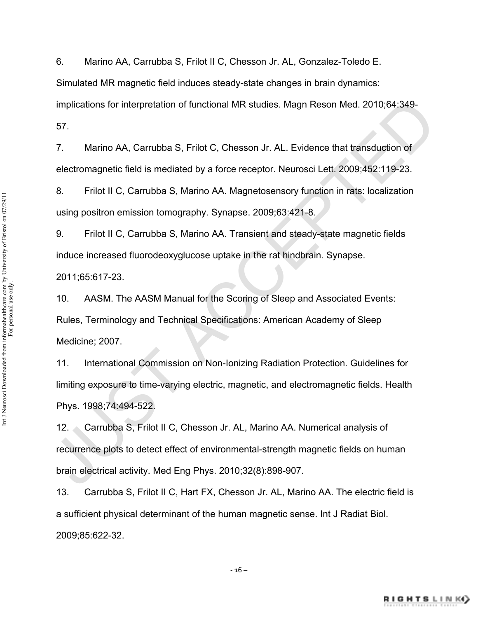6. Marino AA, Carrubba S, Frilot II C, Chesson Jr. AL, Gonzalez-Toledo E. Simulated MR magnetic field induces steady-state changes in brain dynamics: implications for interpretation of functional MR studies. Magn Reson Med. 2010;64:349- 57.

7. Marino AA, Carrubba S, Frilot C, Chesson Jr. AL. Evidence that transduction of electromagnetic field is mediated by a force receptor. Neurosci Lett. 2009;452:119-23.

8. Frilot II C, Carrubba S, Marino AA. Magnetosensory function in rats: localization using positron emission tomography. Synapse. 2009;63:421-8.

9. Frilot II C, Carrubba S, Marino AA. Transient and steady-state magnetic fields induce increased fluorodeoxyglucose uptake in the rat hindbrain. Synapse. 2011;65:617-23.

10. AASM. The AASM Manual for the Scoring of Sleep and Associated Events: Rules, Terminology and Technical Specifications: American Academy of Sleep Medicine; 2007.

implications for interpretation of functional MR studies. Magn Reson Med. 2010;64:349-<br>
57. Marino AA, Carrubba S, Frilot C, Chesson Jr. AL. Evidence that transduction of<br>
electromagnetic field is mediated by a force recep 11. International Commission on Non-Ionizing Radiation Protection. Guidelines for limiting exposure to time-varying electric, magnetic, and electromagnetic fields. Health Phys. 1998;74:494-522.

12. Carrubba S, Frilot II C, Chesson Jr. AL, Marino AA. Numerical analysis of recurrence plots to detect effect of environmental-strength magnetic fields on human brain electrical activity. Med Eng Phys. 2010;32(8):898-907.

13. Carrubba S, Frilot II C, Hart FX, Chesson Jr. AL, Marino AA. The electric field is a sufficient physical determinant of the human magnetic sense. Int J Radiat Biol. 2009;85:622-32.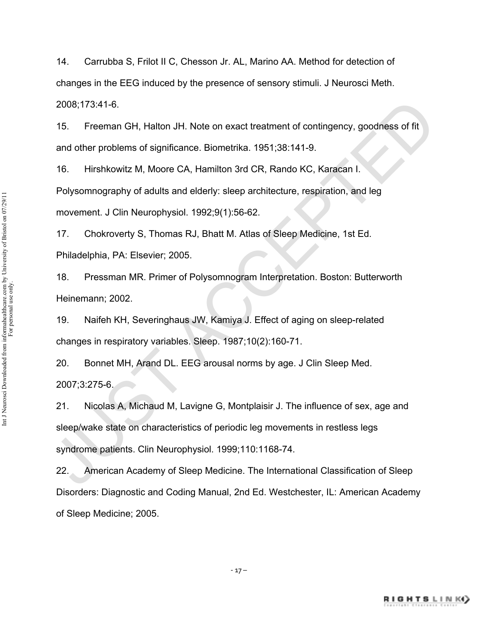14. Carrubba S, Frilot II C, Chesson Jr. AL, Marino AA. Method for detection of changes in the EEG induced by the presence of sensory stimuli. J Neurosci Meth. 2008;173:41-6.

15. Freeman GH, Halton JH. Note on exact treatment of contingency, goodness of fit and other problems of significance. Biometrika. 1951;38:141-9.

16. Hirshkowitz M, Moore CA, Hamilton 3rd CR, Rando KC, Karacan I. Polysomnography of adults and elderly: sleep architecture, respiration, and leg movement. J Clin Neurophysiol. 1992;9(1):56-62.

17. Chokroverty S, Thomas RJ, Bhatt M. Atlas of Sleep Medicine, 1st Ed. Philadelphia, PA: Elsevier; 2005.

18. Pressman MR. Primer of Polysomnogram Interpretation. Boston: Butterworth Heinemann; 2002.

19. Naifeh KH, Severinghaus JW, Kamiya J. Effect of aging on sleep-related changes in respiratory variables. Sleep. 1987;10(2):160-71.

20. Bonnet MH, Arand DL. EEG arousal norms by age. J Clin Sleep Med. 2007;3:275-6.

2008:173:41-6.<br>
15. Freeman GH, Halton JH. Note on exact treatment of contingency, goodness of fit<br>
16. Hirshkowitz M, Moore CA, Hamilton 3rd CR, Rando KC, Karacan I.<br>
16. Hirshkowitz M, Moore CA, Hamilton 3rd CR, Rando KC 21. Nicolas A, Michaud M, Lavigne G, Montplaisir J. The influence of sex, age and sleep/wake state on characteristics of periodic leg movements in restless legs syndrome patients. Clin Neurophysiol. 1999;110:1168-74.

22. American Academy of Sleep Medicine. The International Classification of Sleep Disorders: Diagnostic and Coding Manual, 2nd Ed. Westchester, IL: American Academy of Sleep Medicine; 2005.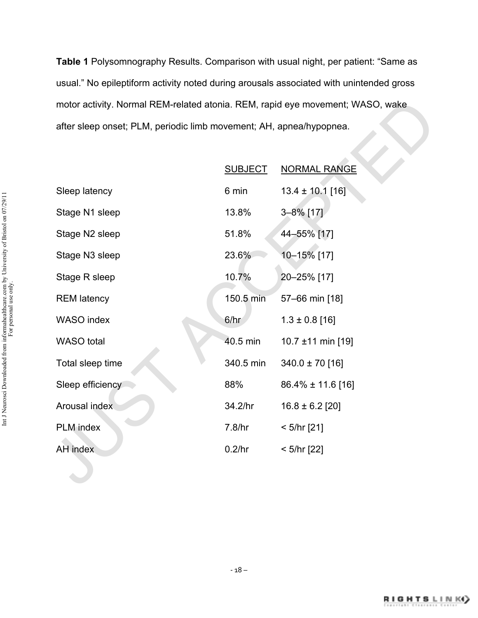**Table 1** Polysomnography Results. Comparison with usual night, per patient: "Same as usual." No epileptiform activity noted during arousals associated with unintended gross motor activity. Normal REM-related atonia. REM, rapid eye movement; WASO, wake after sleep onset; PLM, periodic limb movement; AH, apnea/hypopnea.

| motor activity. Normal REM-related atonia. REM, rapid eye movement; WASO, wake |                |                      |  |  |
|--------------------------------------------------------------------------------|----------------|----------------------|--|--|
| after sleep onset; PLM, periodic limb movement; AH, apnea/hypopnea.            |                |                      |  |  |
|                                                                                | <b>SUBJECT</b> | <b>NORMAL RANGE</b>  |  |  |
| Sleep latency                                                                  | 6 min          | $13.4 \pm 10.1$ [16] |  |  |
| Stage N1 sleep                                                                 | 13.8%          | $3 - 8\%$ [17]       |  |  |
| Stage N2 sleep                                                                 | 51.8%          | 44-55% [17]          |  |  |
| Stage N3 sleep                                                                 | 23.6%          | 10-15% [17]          |  |  |
| Stage R sleep                                                                  | 10.7%          | 20-25% [17]          |  |  |
| <b>REM</b> latency                                                             | 150.5 min      | 57-66 min [18]       |  |  |
| WASO index                                                                     | 6/hr           | $1.3 \pm 0.8$ [16]   |  |  |
| <b>WASO</b> total                                                              | 40.5 min       | 10.7 ±11 min [19]    |  |  |
| Total sleep time                                                               | 340.5 min      | $340.0 \pm 70$ [16]  |  |  |
| Sleep efficiency                                                               | 88%            | 86.4% ± 11.6 [16]    |  |  |
| Arousal index                                                                  | 34.2/hr        | $16.8 \pm 6.2$ [20]  |  |  |
| PLM index                                                                      | 7.8/hr         | $< 5/hr$ [21]        |  |  |
| AH index                                                                       | 0.2/hr         | $< 5/hr$ [22]        |  |  |
|                                                                                |                |                      |  |  |
|                                                                                |                |                      |  |  |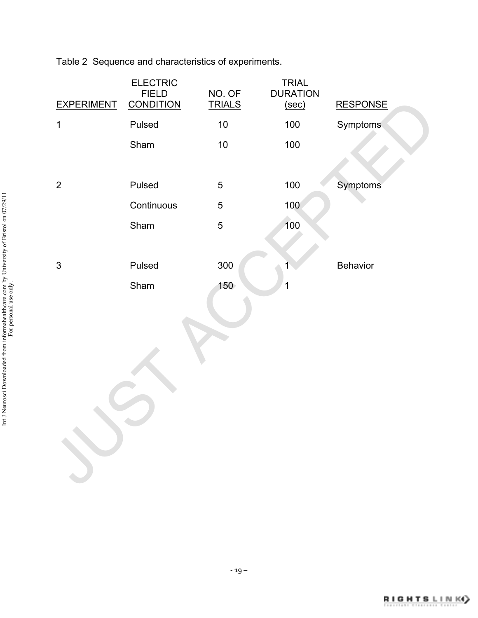Table 2 Sequence and characteristics of experiments.

| <b>EXPERIMENT</b>         | <b>ELECTRIC</b><br><b>FIELD</b><br><b>CONDITION</b> | NO. OF<br><b>TRIALS</b> | <b>TRIAL</b><br><b>DURATION</b><br>(sec) | <b>RESPONSE</b> |
|---------------------------|-----------------------------------------------------|-------------------------|------------------------------------------|-----------------|
| $\mathbf 1$               | Pulsed                                              | $10$                    | 100                                      | Symptoms        |
|                           | Sham                                                | $10$                    | 100                                      |                 |
|                           |                                                     |                         |                                          |                 |
| $\mathbf{2}$              | Pulsed                                              | $\sqrt{5}$              | 100                                      | Symptoms        |
|                           | Continuous                                          | 5                       | 100                                      |                 |
|                           | Sham                                                | 5                       | 100                                      |                 |
|                           |                                                     |                         |                                          |                 |
| $\ensuremath{\mathsf{3}}$ | Pulsed                                              | 300                     |                                          | Behavior        |
|                           | Sham                                                | 150                     |                                          |                 |
|                           |                                                     |                         |                                          |                 |
|                           |                                                     |                         |                                          |                 |
|                           |                                                     |                         |                                          |                 |
|                           |                                                     |                         |                                          |                 |
|                           |                                                     |                         |                                          |                 |
|                           |                                                     |                         |                                          |                 |
|                           |                                                     |                         |                                          |                 |
|                           |                                                     |                         |                                          |                 |
|                           |                                                     |                         |                                          |                 |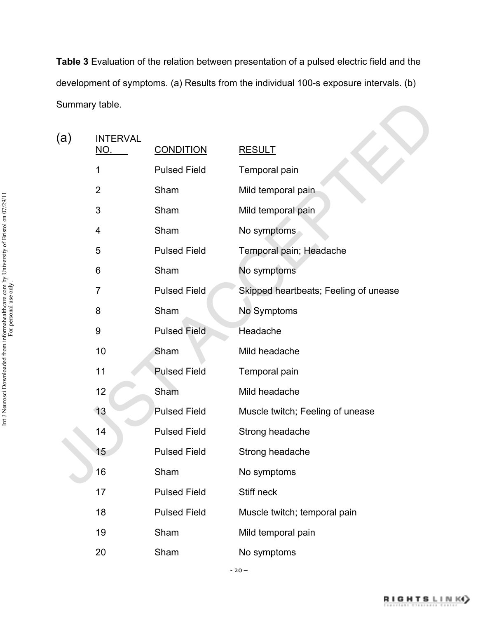**Table 3** Evaluation of the relation between presentation of a pulsed electric field and the development of symptoms. (a) Results from the individual 100-s exposure intervals. (b) Summary table.

| Summary table. |                               |                     |                                       |  |  |
|----------------|-------------------------------|---------------------|---------------------------------------|--|--|
| (a)            | <b>INTERVAL</b><br><u>NO.</u> | <b>CONDITION</b>    | <b>RESULT</b>                         |  |  |
|                | 1                             | <b>Pulsed Field</b> | Temporal pain                         |  |  |
|                | $\overline{2}$                | Sham                | Mild temporal pain                    |  |  |
|                | 3                             | Sham                | Mild temporal pain                    |  |  |
|                | 4                             | Sham                | No symptoms                           |  |  |
|                | 5                             | <b>Pulsed Field</b> | Temporal pain; Headache               |  |  |
|                | $6\phantom{1}$                | Sham                | No symptoms                           |  |  |
|                | $\overline{7}$                | <b>Pulsed Field</b> | Skipped heartbeats; Feeling of unease |  |  |
|                | 8                             | Sham                | No Symptoms                           |  |  |
|                | $9\,$                         | <b>Pulsed Field</b> | Headache                              |  |  |
|                | 10                            | Sham                | Mild headache                         |  |  |
|                | 11                            | <b>Pulsed Field</b> | Temporal pain                         |  |  |
|                | 12                            | Sham                | Mild headache                         |  |  |
|                | 13                            | <b>Pulsed Field</b> | Muscle twitch; Feeling of unease      |  |  |
|                | 14                            | <b>Pulsed Field</b> | Strong headache                       |  |  |
|                | 15                            | <b>Pulsed Field</b> | Strong headache                       |  |  |
|                | 16                            | Sham                | No symptoms                           |  |  |
|                | 17                            | <b>Pulsed Field</b> | Stiff neck                            |  |  |
|                | 18                            | <b>Pulsed Field</b> | Muscle twitch; temporal pain          |  |  |
|                | 19                            | Sham                | Mild temporal pain                    |  |  |
|                | 20                            | Sham                | No symptoms                           |  |  |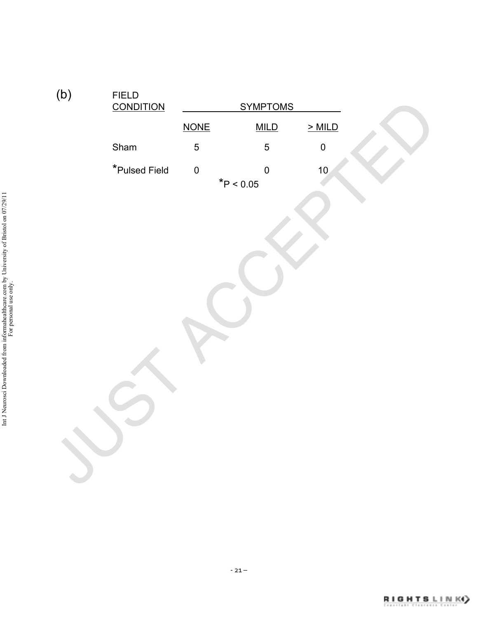| (b) | FIELD<br><b>CONDITION</b> |                | <b>SYMPTOMS</b> |                 |  |
|-----|---------------------------|----------------|-----------------|-----------------|--|
|     |                           | <b>NONE</b>    | MILD            | $>$ MILD        |  |
|     | Sham                      | $\overline{5}$ | $\sqrt{5}$      | $\pmb{0}$       |  |
|     | *Pulsed Field             | $\pmb{0}$      | $\pmb{0}$       | 10 <sub>1</sub> |  |
|     |                           |                | $*$ P < 0.05    |                 |  |
|     |                           |                |                 |                 |  |
|     |                           |                |                 |                 |  |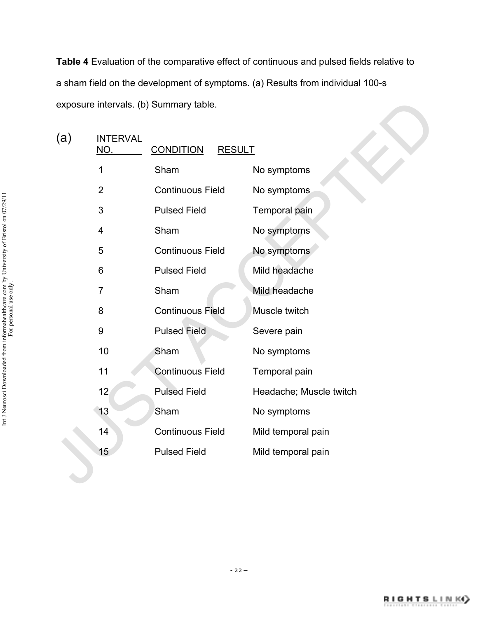**Table 4** Evaluation of the comparative effect of continuous and pulsed fields relative to a sham field on the development of symptoms. (a) Results from individual 100-s exposure intervals. (b) Summary table.

| exposure intervals. (b) Summary table. |                               |                                   |                         |  |
|----------------------------------------|-------------------------------|-----------------------------------|-------------------------|--|
| (a)                                    | <b>INTERVAL</b><br><u>NO.</u> | <b>CONDITION</b><br><b>RESULT</b> |                         |  |
|                                        | 1                             | Sham                              | No symptoms             |  |
|                                        | $\overline{2}$                | <b>Continuous Field</b>           | No symptoms             |  |
|                                        | 3                             | <b>Pulsed Field</b>               | Temporal pain           |  |
|                                        | 4                             | Sham                              | No symptoms             |  |
|                                        | 5                             | <b>Continuous Field</b>           | No symptoms             |  |
|                                        | 6                             | <b>Pulsed Field</b>               | Mild headache           |  |
|                                        | $\overline{7}$                | Sham                              | Mild headache           |  |
|                                        | 8                             | <b>Continuous Field</b>           | Muscle twitch           |  |
|                                        | 9                             | <b>Pulsed Field</b>               | Severe pain             |  |
|                                        | 10                            | Sham                              | No symptoms             |  |
|                                        | 11                            | <b>Continuous Field</b>           | Temporal pain           |  |
|                                        | 12                            | <b>Pulsed Field</b>               | Headache; Muscle twitch |  |
|                                        | 13                            | Sham                              | No symptoms             |  |
|                                        | 14                            | <b>Continuous Field</b>           | Mild temporal pain      |  |
|                                        | 15                            | <b>Pulsed Field</b>               | Mild temporal pain      |  |
|                                        |                               |                                   |                         |  |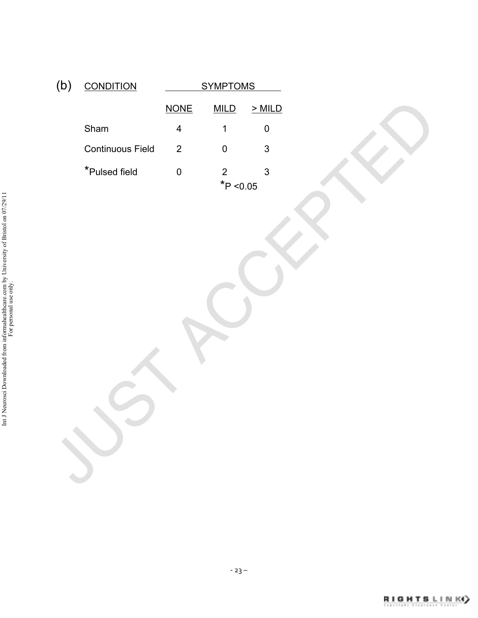| (b) | <b>CONDITION</b>        | <b>SYMPTOMS</b>         |                               |                |
|-----|-------------------------|-------------------------|-------------------------------|----------------|
|     |                         | <b>NONE</b>             | MILD                          | $>$ MILD       |
|     | Sham                    | $\overline{\mathbf{4}}$ | $\overline{1}$                | $\pmb{0}$      |
|     | <b>Continuous Field</b> | $\overline{2}$          | $\pmb{0}$                     | $\mathbf{3}$   |
|     | *Pulsed field           | $\pmb{0}$               | $\overline{2}$<br>$*$ P <0.05 | $\mathfrak{S}$ |
|     |                         |                         |                               |                |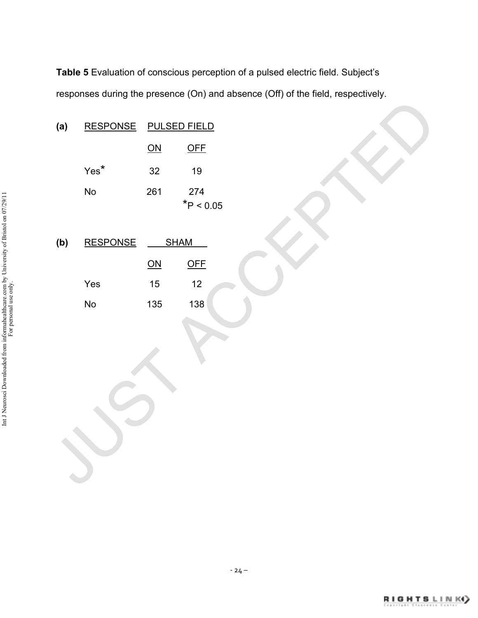**Table 5** Evaluation of conscious perception of a pulsed electric field. Subject's responses during the presence (On) and absence (Off) of the field, respectively.

| (a) | <b>RESPONSE</b>        |                  | <b>PULSED FIELD</b> |
|-----|------------------------|------------------|---------------------|
|     |                        | $\underline{ON}$ | OFE                 |
|     | $\mathsf{Yes}^{\star}$ | 32               | $19$                |
|     | No                     | 261              | 274<br>$*$ P < 0.05 |
| (b) | <b>RESPONSE</b>        |                  | <b>SHAM</b>         |
|     |                        | $\underline{ON}$ | <b>OFF</b>          |
|     | Yes                    | $15\,$           | 12                  |
|     | No                     | 135              | 138                 |
|     |                        |                  |                     |